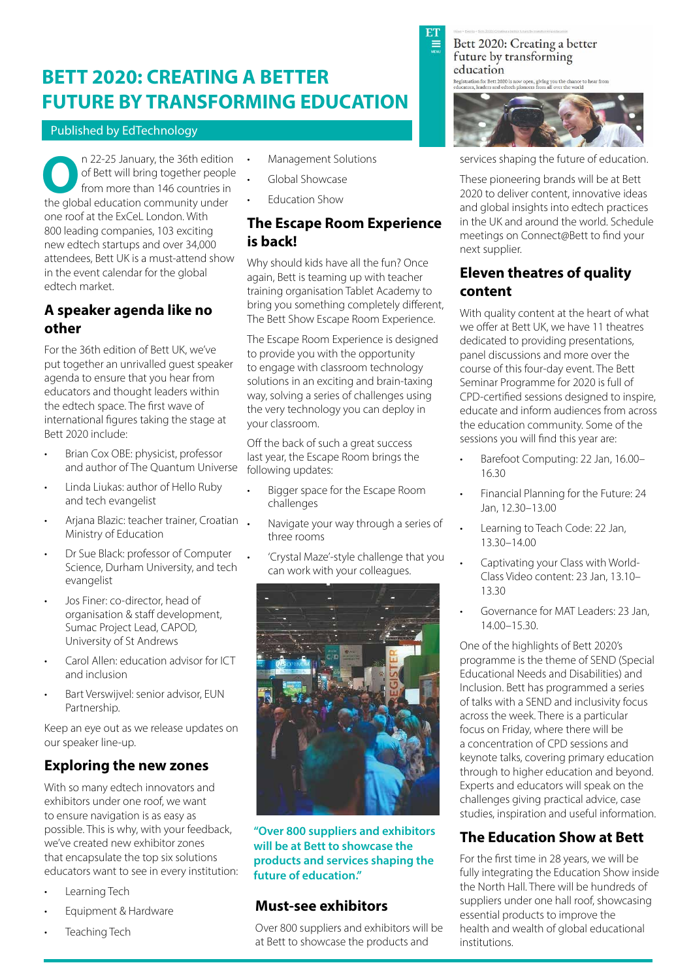# **BETT 2020: CREATING A BETTER FUTURE BY TRANSFORMING EDUCATION**

#### Published by EdTechnology

n 22-25 January, the 36th edition of Bett will bring together people from more than 146 countries in **O n** 22-25 January, the 36th edition of Bett will bring together peopl from more than 146 countries in the global education community under one roof at the ExCeL London. With 800 leading companies, 103 exciting new edtech startups and over 34,000 attendees, Bett UK is a must-attend show in the event calendar for the global edtech market.

### **A speaker agenda like no other**

For the 36th edition of Bett UK, we've put together an unrivalled guest speaker agenda to ensure that you hear from educators and thought leaders within the edtech space. The first wave of international figures taking the stage at Bett 2020 include:

- Brian Cox OBE: physicist, professor and author of The Quantum Universe
- Linda Liukas: author of Hello Ruby and tech evangelist
- Arjana Blazic: teacher trainer, Croatian Ministry of Education
- Dr Sue Black: professor of Computer Science, Durham University, and tech evangelist
- Jos Finer: co-director, head of organisation & staff development, Sumac Project Lead, CAPOD, University of St Andrews
- Carol Allen: education advisor for ICT and inclusion
- Bart Verswijvel: senior advisor, EUN Partnership.

Keep an eye out as we release updates on our speaker line-up.

# **Exploring the new zones**

With so many edtech innovators and exhibitors under one roof, we want to ensure navigation is as easy as possible. This is why, with your feedback, we've created new exhibitor zones that encapsulate the top six solutions educators want to see in every institution:

- Learning Tech
- Equipment & Hardware
- Teaching Tech
- Management Solutions
- Global Showcase
- Education Show

#### **The Escape Room Experience is back!**

Why should kids have all the fun? Once again, Bett is teaming up with teacher training organisation Tablet Academy to bring you something completely different, The Bett Show Escape Room Experience.

The Escape Room Experience is designed to provide you with the opportunity to engage with classroom technology solutions in an exciting and brain-taxing way, solving a series of challenges using the very technology you can deploy in your classroom.

Off the back of such a great success last year, the Escape Room brings the following updates:

- Bigger space for the Escape Room challenges
- Navigate your way through a series of three rooms
- 'Crystal Maze'-style challenge that you can work with your colleagues.



**"Over 800 suppliers and exhibitors will be at Bett to showcase the products and services shaping the future of education."**

#### **Must-see exhibitors**

Over 800 suppliers and exhibitors will be at Bett to showcase the products and

Bett 2020: Creating a better future by transforming education Registration for Bett 2020 is now open, giving you the chance to hear from<br>educators, leaders and edtech pioneers from all over the world

services shaping the future of education.

These pioneering brands will be at Bett 2020 to deliver content, innovative ideas and global insights into edtech practices in the UK and around the world. Schedule meetings on Connect@Bett to find your next supplier.

### **Eleven theatres of quality content**

With quality content at the heart of what we offer at Bett UK, we have 11 theatres dedicated to providing presentations, panel discussions and more over the course of this four-day event. The Bett Seminar Programme for 2020 is full of CPD-certified sessions designed to inspire, educate and inform audiences from across the education community. Some of the sessions you will find this year are:

- Barefoot Computing: 22 Jan, 16.00– 16.30
- Financial Planning for the Future: 24 Jan, 12.30–13.00
- Learning to Teach Code: 22 Jan, 13.30–14.00
- Captivating your Class with World-Class Video content: 23 Jan, 13.10– 13.30
- Governance for MAT Leaders: 23 Jan, 14.00–15.30.

One of the highlights of Bett 2020's programme is the theme of SEND (Special Educational Needs and Disabilities) and Inclusion. Bett has programmed a series of talks with a SEND and inclusivity focus across the week. There is a particular focus on Friday, where there will be a concentration of CPD sessions and keynote talks, covering primary education through to higher education and beyond. Experts and educators will speak on the challenges giving practical advice, case studies, inspiration and useful information.

## **The Education Show at Bett**

For the first time in 28 years, we will be fully integrating the Education Show inside the North Hall. There will be hundreds of suppliers under one hall roof, showcasing essential products to improve the health and wealth of global educational institutions.